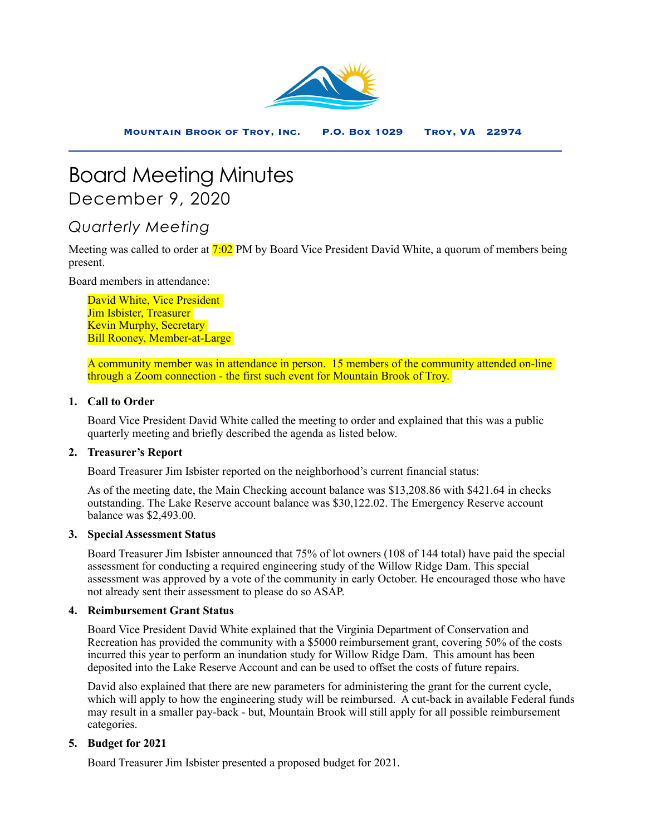

# Board Meeting Minutes December 9, 2020

# *Quarterly Meeting*

Meeting was called to order at 7:02 PM by Board Vice President David White, a quorum of members being present.

Board members in attendance:

David White, Vice President Jim Isbister, Treasurer Kevin Murphy, Secretary Bill Rooney, Member-at-Large

A community member was in attendance in person. 15 members of the community attended on-line through a Zoom connection - the first such event for Mountain Brook of Troy.

### **1. Call to Order**

Board Vice President David White called the meeting to order and explained that this was a public quarterly meeting and briefly described the agenda as listed below.

# **2. Treasurer's Report**

Board Treasurer Jim Isbister reported on the neighborhood's current financial status:

As of the meeting date, the Main Checking account balance was \$13,208.86 with \$421.64 in checks outstanding. The Lake Reserve account balance was \$30,122.02. The Emergency Reserve account balance was \$2,493.00.

#### **3. Special Assessment Status**

Board Treasurer Jim Isbister announced that 75% of lot owners (108 of 144 total) have paid the special assessment for conducting a required engineering study of the Willow Ridge Dam. This special assessment was approved by a vote of the community in early October. He encouraged those who have not already sent their assessment to please do so ASAP.

#### **4. Reimbursement Grant Status**

Board Vice President David White explained that the Virginia Department of Conservation and Recreation has provided the community with a \$5000 reimbursement grant, covering 50% of the costs incurred this year to perform an inundation study for Willow Ridge Dam. This amount has been deposited into the Lake Reserve Account and can be used to offset the costs of future repairs.

David also explained that there are new parameters for administering the grant for the current cycle, which will apply to how the engineering study will be reimbursed. A cut-back in available Federal funds may result in a smaller pay-back - but, Mountain Brook will still apply for all possible reimbursement categories.

#### **5. Budget for 2021**

Board Treasurer Jim Isbister presented a proposed budget for 2021.